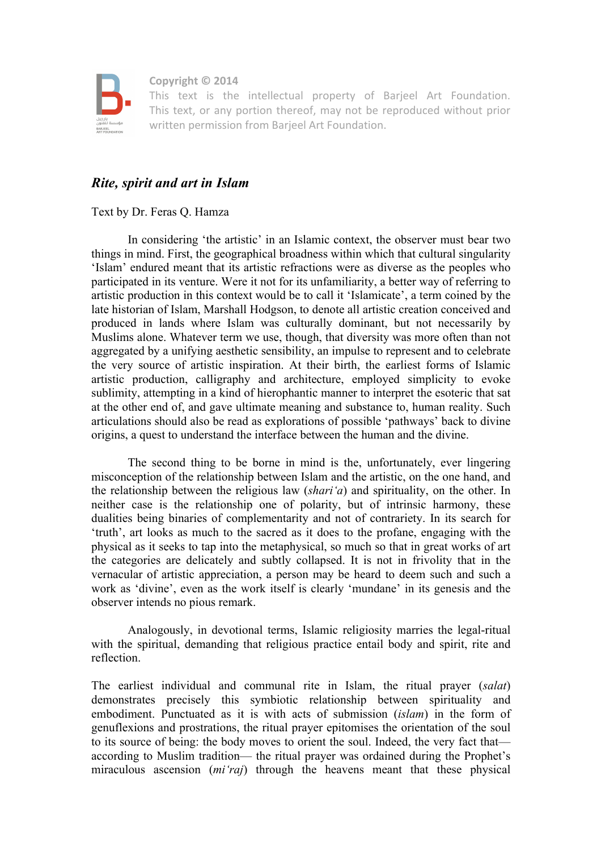

 **Copyright © 2014**

 This text is the intellectual property of Barjeel Art Foundation. This text, or any portion thereof, may not be reproduced without prior written permission from Barjeel Art Foundation.

## *Rite, spirit and art in Islam*

Text by Dr. Feras Q. Hamza

In considering 'the artistic' in an Islamic context, the observer must bear two things in mind. First, the geographical broadness within which that cultural singularity 'Islam' endured meant that its artistic refractions were as diverse as the peoples who participated in its venture. Were it not for its unfamiliarity, a better way of referring to artistic production in this context would be to call it 'Islamicate', a term coined by the late historian of Islam, Marshall Hodgson, to denote all artistic creation conceived and produced in lands where Islam was culturally dominant, but not necessarily by Muslims alone. Whatever term we use, though, that diversity was more often than not aggregated by a unifying aesthetic sensibility, an impulse to represent and to celebrate the very source of artistic inspiration. At their birth, the earliest forms of Islamic artistic production, calligraphy and architecture, employed simplicity to evoke sublimity, attempting in a kind of hierophantic manner to interpret the esoteric that sat at the other end of, and gave ultimate meaning and substance to, human reality. Such articulations should also be read as explorations of possible 'pathways' back to divine origins, a quest to understand the interface between the human and the divine.

The second thing to be borne in mind is the, unfortunately, ever lingering misconception of the relationship between Islam and the artistic, on the one hand, and the relationship between the religious law (*shari'a*) and spirituality, on the other. In neither case is the relationship one of polarity, but of intrinsic harmony, these dualities being binaries of complementarity and not of contrariety. In its search for 'truth', art looks as much to the sacred as it does to the profane, engaging with the physical as it seeks to tap into the metaphysical, so much so that in great works of art the categories are delicately and subtly collapsed. It is not in frivolity that in the vernacular of artistic appreciation, a person may be heard to deem such and such a work as 'divine', even as the work itself is clearly 'mundane' in its genesis and the observer intends no pious remark.

Analogously, in devotional terms, Islamic religiosity marries the legal-ritual with the spiritual, demanding that religious practice entail body and spirit, rite and reflection.

The earliest individual and communal rite in Islam, the ritual prayer (*salat*) demonstrates precisely this symbiotic relationship between spirituality and embodiment. Punctuated as it is with acts of submission (*islam*) in the form of genuflexions and prostrations, the ritual prayer epitomises the orientation of the soul to its source of being: the body moves to orient the soul. Indeed, the very fact that according to Muslim tradition— the ritual prayer was ordained during the Prophet's miraculous ascension (*mi'raj*) through the heavens meant that these physical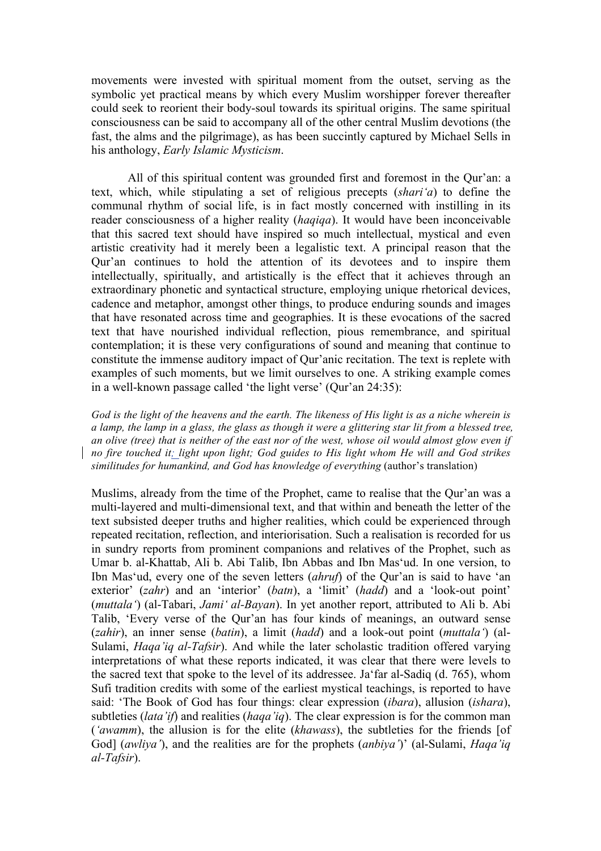movements were invested with spiritual moment from the outset, serving as the symbolic yet practical means by which every Muslim worshipper forever thereafter could seek to reorient their body-soul towards its spiritual origins. The same spiritual consciousness can be said to accompany all of the other central Muslim devotions (the fast, the alms and the pilgrimage), as has been succintly captured by Michael Sells in his anthology, *Early Islamic Mysticism*.

All of this spiritual content was grounded first and foremost in the Qur'an: a text, which, while stipulating a set of religious precepts (*shari'a*) to define the communal rhythm of social life, is in fact mostly concerned with instilling in its reader consciousness of a higher reality (*haqiqa*). It would have been inconceivable that this sacred text should have inspired so much intellectual, mystical and even artistic creativity had it merely been a legalistic text. A principal reason that the Qur'an continues to hold the attention of its devotees and to inspire them intellectually, spiritually, and artistically is the effect that it achieves through an extraordinary phonetic and syntactical structure, employing unique rhetorical devices, cadence and metaphor, amongst other things, to produce enduring sounds and images that have resonated across time and geographies. It is these evocations of the sacred text that have nourished individual reflection, pious remembrance, and spiritual contemplation; it is these very configurations of sound and meaning that continue to constitute the immense auditory impact of Qur'anic recitation. The text is replete with examples of such moments, but we limit ourselves to one. A striking example comes in a well-known passage called 'the light verse' (Qur'an 24:35):

*God is the light of the heavens and the earth. The likeness of His light is as a niche wherein is a lamp, the lamp in a glass, the glass as though it were a glittering star lit from a blessed tree, an olive (tree) that is neither of the east nor of the west, whose oil would almost glow even if no fire touched it; light upon light; God guides to His light whom He will and God strikes similitudes for humankind, and God has knowledge of everything* (author's translation)

Muslims, already from the time of the Prophet, came to realise that the Qur'an was a multi-layered and multi-dimensional text, and that within and beneath the letter of the text subsisted deeper truths and higher realities, which could be experienced through repeated recitation, reflection, and interiorisation. Such a realisation is recorded for us in sundry reports from prominent companions and relatives of the Prophet, such as Umar b. al-Khattab, Ali b. Abi Talib, Ibn Abbas and Ibn Mas'ud. In one version, to Ibn Mas'ud, every one of the seven letters (*ahruf*) of the Qur'an is said to have 'an exterior' (*zahr*) and an 'interior' (*batn*), a 'limit' (*hadd*) and a 'look-out point' (*muttala'*) (al-Tabari, *Jami' al-Bayan*). In yet another report, attributed to Ali b. Abi Talib, 'Every verse of the Qur'an has four kinds of meanings, an outward sense (*zahir*), an inner sense (*batin*), a limit (*hadd*) and a look-out point (*muttala'*) (al-Sulami, *Haqa'iq al-Tafsir*). And while the later scholastic tradition offered varying interpretations of what these reports indicated, it was clear that there were levels to the sacred text that spoke to the level of its addressee. Ja'far al-Sadiq (d. 765), whom Sufi tradition credits with some of the earliest mystical teachings, is reported to have said: 'The Book of God has four things: clear expression (*ibara*), allusion (*ishara*), subtleties (*lata'if*) and realities (*haqa'iq*). The clear expression is for the common man (*'awamm*), the allusion is for the elite (*khawass*), the subtleties for the friends [of God] (*awliya'*), and the realities are for the prophets (*anbiya'*)' (al-Sulami, *Haqa'iq al-Tafsir*).